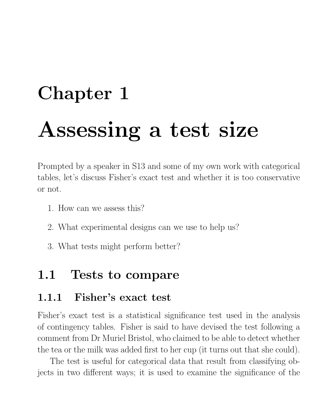# Chapter 1 Assessing a test size

Prompted by a speaker in S13 and some of my own work with categorical tables, let's discuss Fisher's exact test and whether it is too conservative or not.

- 1. How can we assess this?
- 2. What experimental designs can we use to help us?
- 3. What tests might perform better?

## 1.1 Tests to compare

#### 1.1.1 Fisher's exact test

Fisher's exact test is a statistical significance test used in the analysis of contingency tables. Fisher is said to have devised the test following a comment from Dr Muriel Bristol, who claimed to be able to detect whether the tea or the milk was added first to her cup (it turns out that she could).

The test is useful for categorical data that result from classifying objects in two different ways; it is used to examine the significance of the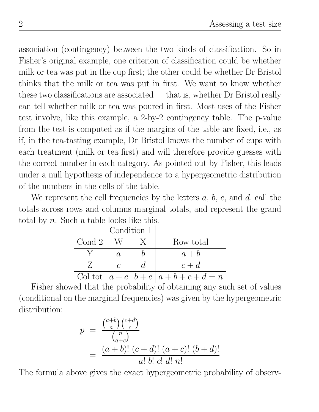association (contingency) between the two kinds of classification. So in Fisher's original example, one criterion of classification could be whether milk or tea was put in the cup first; the other could be whether Dr Bristol thinks that the milk or tea was put in first. We want to know whether these two classifications are associated — that is, whether Dr Bristol really can tell whether milk or tea was poured in first. Most uses of the Fisher test involve, like this example, a 2-by-2 contingency table. The p-value from the test is computed as if the margins of the table are fixed, i.e., as if, in the tea-tasting example, Dr Bristol knows the number of cups with each treatment (milk or tea first) and will therefore provide guesses with the correct number in each category. As pointed out by Fisher, this leads under a null hypothesis of independence to a hypergeometric distribution of the numbers in the cells of the table.

We represent the cell frequencies by the letters  $a, b, c$ , and  $d$ , call the totals across rows and columns marginal totals, and represent the grand total by  $n$ . Such a table looks like this.

|        | Condition 1   |             |                                      |
|--------|---------------|-------------|--------------------------------------|
| Cond 2 |               |             | Row total                            |
|        | $\alpha$      |             | $a + b$                              |
|        | $\mathcal{C}$ | $d_{\cdot}$ | $c+d$                                |
|        |               |             | Col tot $ a+c \, b+c \,   a+b+c+d=n$ |

Fisher showed that the probability of obtaining any such set of values (conditional on the marginal frequencies) was given by the hypergeometric distribution:

$$
p = \frac{\binom{a+b}{a}\binom{c+d}{c}}{\binom{n}{a+c}}
$$
  
= 
$$
\frac{(a+b)! (c+d)! (a+c)! (b+d)!}{a! b! c! d! n!}
$$

The formula above gives the exact hypergeometric probability of observ-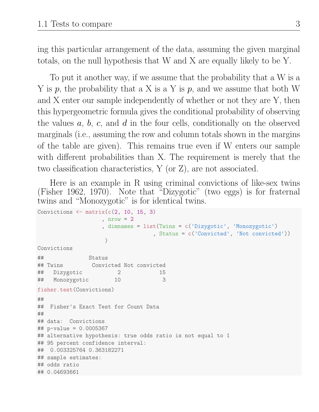ing this particular arrangement of the data, assuming the given marginal totals, on the null hypothesis that W and X are equally likely to be Y.

To put it another way, if we assume that the probability that a W is a Y is p, the probability that a X is a Y is p, and we assume that both W and X enter our sample independently of whether or not they are Y, then this hypergeometric formula gives the conditional probability of observing the values  $a, b, c,$  and  $d$  in the four cells, conditionally on the observed marginals (i.e., assuming the row and column totals shown in the margins of the table are given). This remains true even if W enters our sample with different probabilities than X. The requirement is merely that the two classification characteristics, Y (or Z), are not associated.

Here is an example in R using criminal convictions of like-sex twins (Fisher 1962, 1970). Note that "Dizygotic" (two eggs) is for fraternal twins and "Monozygotic" is for identical twins.

```
Convictions \leq matrix(c(2, 10, 15, 3), nrow = 2, dimnames = list(Twins = c('Dizygotic', 'Monozygotic')
                                , Status = c('Convicted', 'Not convicted'))
                   )
Convictions
## Status
## Twins Convicted Not convicted
## Dizygotic 2 15
## Monozygotic 10 3
fisher.test(Convictions)
##
## Fisher's Exact Test for Count Data
##
## data: Convictions
## p-value = 0.0005367
## alternative hypothesis: true odds ratio is not equal to 1
## 95 percent confidence interval:
## 0.003325764 0.363182271
## sample estimates:
## odds ratio
## 0.04693661
```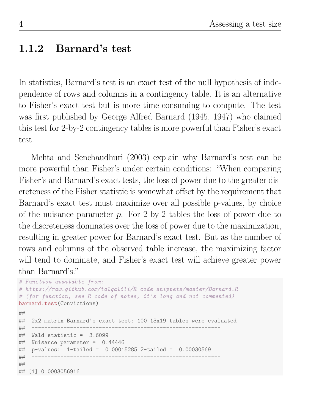#### 1.1.2 Barnard's test

In statistics, Barnard's test is an exact test of the null hypothesis of independence of rows and columns in a contingency table. It is an alternative to Fisher's exact test but is more time-consuming to compute. The test was first published by George Alfred Barnard (1945, 1947) who claimed this test for 2-by-2 contingency tables is more powerful than Fisher's exact test.

Mehta and Senchaudhuri (2003) explain why Barnard's test can be more powerful than Fisher's under certain conditions: "When comparing Fisher's and Barnard's exact tests, the loss of power due to the greater discreteness of the Fisher statistic is somewhat offset by the requirement that Barnard's exact test must maximize over all possible p-values, by choice of the nuisance parameter  $p$ . For 2-by-2 tables the loss of power due to the discreteness dominates over the loss of power due to the maximization, resulting in greater power for Barnard's exact test. But as the number of rows and columns of the observed table increase, the maximizing factor will tend to dominate, and Fisher's exact test will achieve greater power than Barnard's."

```
# Function available from:
# https://raw.github.com/talgalili/R-code-snippets/master/Barnard.R
# (for function, see R code of notes, it's long and not commented)
barnard.test(Convictions)
##
## 2x2 matrix Barnard's exact test: 100 13x19 tables were evaluated
## -----------------------------------------------------------
## Wald statistic = 3.6099
## Nuisance parameter = 0.44446
## p-values: 1-tailed = 0.00015285 2-tailed = 0.00030569
## -----------------------------------------------------------
##
## [1] 0.0003056916
```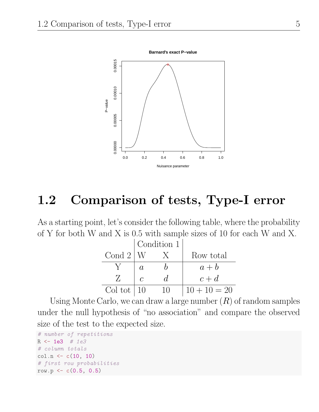

# 1.2 Comparison of tests, Type-I error

As a starting point, let's consider the following table, where the probability of Y for both W and X is 0.5 with sample sizes of 10 for each W and X.

|                    |          | Condition 1 |                |
|--------------------|----------|-------------|----------------|
| Cond $2 W$         |          |             | Row total      |
|                    | $\alpha$ |             | $a + b$        |
|                    |          | Ń.          | $c+d$          |
| Col tot $\vert$ 10 |          |             | $10 + 10 = 20$ |

Using Monte Carlo, we can draw a large number  $(R)$  of random samples under the null hypothesis of "no association" and compare the observed size of the test to the expected size.

```
# number of repetitions
R <- 1e3 # 1e3
# column totals
col.n \leq c(10, 10)# first row probabilities
row.p <- c(0.5, 0.5)
```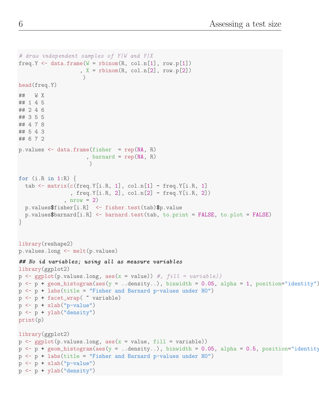```
# draw independent samples of Y|W and Y|X
freq.Y \leq data.frame(W = rbinom(R, col.n[1], row.p[1])
                      , X = rbinom(R, col.n[2], row.p[2]))head(freq.Y)
## W X
## 1 4 5
## 2 4 6
## 3 5 5
## 4 7 8
## 5 4 3
## 6 7 2
p.values < - data frame(fisher = rep(NA, R), barnard = rep(M, R)\lambdafor (i.R in 1:R) {
  tab \leq matrix(c(freq.Y[i.R, 1], col.n[1] - freq.Y[i.R, 1]
                  , freq.Y[i.R, 2], col.n[2] - freq.Y[i.R, 2]), nrow = 2)
  p.values$fisher[i.R] <- fisher.test(tab)$p.value
  p.values$barnard[i.R] <- barnard.test(tab, to.print = FALSE, to.plot = FALSE)
}
library(reshape2)
p.values.long <- melt(p.values)
## No id variables; using all as measure variables
library(ggplot2)
p \leftarrow \text{ggplot}(p.values.length, aes(x = value)) #, fill = variable)p \leq -p + \text{geom\_histogram}(aes(y = ... density...), binwidth = 0.05, alpha = 1, position='identity")p \le -p + \text{ labs}(\text{title} = "Fisher and Barnard p-values under HO")p <- p + facet_wrap( ~ variable)
p \leftarrow p + x \text{lab("p-value")}p \leftarrow p + ylab("density")
print(p)
library(ggplot2)
p \leftarrow ggplot(p.values.long, aes(x = value, fill = variable))
p \leftarrow p + \text{geom\_histogram}(aes(y = ... density...), binwidth = 0.05, alpha = 0.5, position="identityp \le -p + \text{ labs}(\text{title} = "Fisher and Barnard p-values under HO")p \leftarrow p + x \text{lab("p-value")}p <- p + ylab("density")
```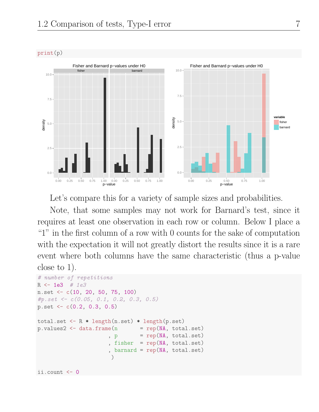

Let's compare this for a variety of sample sizes and probabilities.

Note, that some samples may not work for Barnard's test, since it requires at least one observation in each row or column. Below I place a "1" in the first column of a row with 0 counts for the sake of computation with the expectation it will not greatly distort the results since it is a rare event where both columns have the same characteristic (thus a p-value close to 1).

```
# number of repetitions
R <- 1e3 # 1e3
n.set <- c(10, 20, 50, 75, 100)
#p.set <- c(0.05, 0.1, 0.2, 0.3, 0.5)
p.set <- c(0.2, 0.3, 0.5)
total.set <- R * length(n.set) * length(p.set)
p.values2 \leq data frame(n = rep(M, total.set), p = rep(NA, total.set)fisher = rep(NA, total.set)barnard = rep(NA, total.set)
                      )
ii.count <- 0
```
print(p)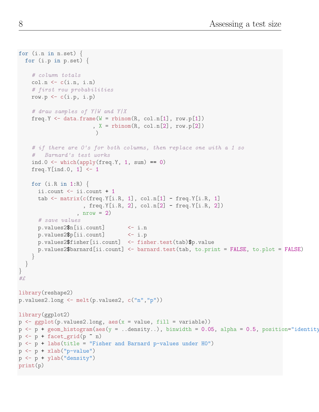```
for (i.n in n.set) {
  for (i.p in p.set) {
    # column totals
    col.n \leftarrow c(i.n, i.n)# first row probabilities
    row.p \leftarrow c(i.p, i.p)# draw samples of Y|W and Y|X
    freq.Y \leq data.frame(W = rbinom(R, col.n[1], row.p[1])
                          , X = \text{rbinom}(R, \text{col.n}[2], \text{row.p}[2]))
    # if there are 0's for both columns, then replace one with a 1 so
    # Barnard's test works
    ind.0 \leftarrow which(apply(freq.Y, 1, sum) == 0)
    freq.Y[ind.0, 1] \leftarrow 1
    for (i.R in 1:R) {
      ii.count <- ii.count + 1
      tab \leq matrix(c(freq.Y[i.R, 1], col.n[1] - freq.Y[i.R, 1]
                      , freq.Y[i.R, 2], col.n[2] - freq.Y[i.R, 2])
                    , nrow = 2# save values
      p.values2$n[ii.count] <- i.n
      p.values2$p[ii.count] <- i.p
      p.values2$fisher[ii.count] <- fisher.test(tab)$p.value
      p.values2$barnard[ii.count] <- barnard.test(tab, to.print = FALSE, to.plot = FALSE)
    }
  }
}
#£
library(reshape2)
p.values2.long <- melt(p.values2, c("n","p"))
library(ggplot2)
p \leftarrow \text{ggplot}(p.values2.length) aes(x = value, fill = variable))
p \leftarrow p + \text{geom\_histogram}(aes(y = ... density...), binwidth = 0.05, alpha = 0.5, position="identity)p \leftarrow p + \text{fact\_grid}(p \text{ m})p \le -p + \text{ labs}(\text{title} = "Fisher and Barnard p-values under HO")p \leftarrow p + x \text{lab("p-value")}p <- p + ylab("density")
print(p)
```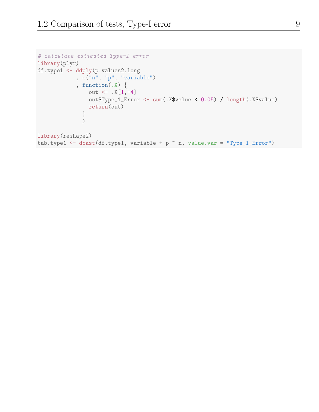```
# calculate estimated Type-I error
library(plyr)
df.type1 <- ddply(p.values2.long
            , c("n", "p", "variable")
            , function(.X) \{out \leftarrow .X[1,-4]out$Type_1_Error <- sum(.X$value < 0.05) / length(.X$value)
                return(out)
              }
              )
```

```
library(reshape2)
tab.type1 <- dcast(df.type1, variable + p \tilde{ } n, value.var = "Type_1_Error")
```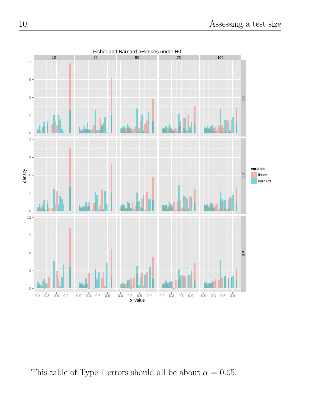

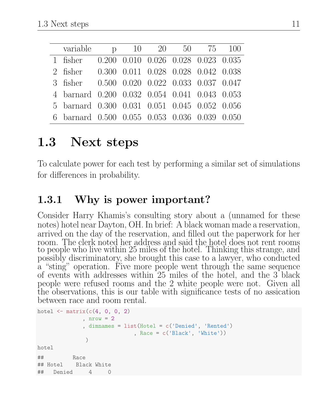| variable p 10 20 50 75 100                    |  |  |  |
|-----------------------------------------------|--|--|--|
| 1 fisher 0.200 0.010 0.026 0.028 0.023 0.035  |  |  |  |
| 2 fisher 0.300 0.011 0.028 0.028 0.042 0.038  |  |  |  |
| 3 fisher 0.500 0.020 0.022 0.033 0.037 0.047  |  |  |  |
| 4 barnard 0.200 0.032 0.054 0.041 0.043 0.053 |  |  |  |
| 5 barnard 0.300 0.031 0.051 0.045 0.052 0.056 |  |  |  |
| 6 barnard 0.500 0.055 0.053 0.036 0.039 0.050 |  |  |  |

# 1.3 Next steps

To calculate power for each test by performing a similar set of simulations for differences in probability.

## 1.3.1 Why is power important?

Consider Harry Khamis's consulting story about a (unnamed for these notes) hotel near Dayton, OH. In brief: A black woman made a reservation, arrived on the day of the reservation, and filled out the paperwork for her room. The clerk noted her address and said the hotel does not rent rooms to people who live within 25 miles of the hotel. Thinking this strange, and possibly discriminatory, she brought this case to a lawyer, who conducted a "sting" operation. Five more people went through the same sequence of events with addresses within 25 miles of the hotel, and the 3 black people were refused rooms and the 2 white people were not. Given all the observations, this is our table with significance tests of no assication between race and room rental.

```
hotel \leq matrix(c(4, 0, 0, 2), nrow = 2, dimnames = list(Hotel = c('Denied', 'Rented')
                            , Race = c('Black', 'White'))
              )
hotel
## Race
## Hotel Black White
## Denied 4 0
```